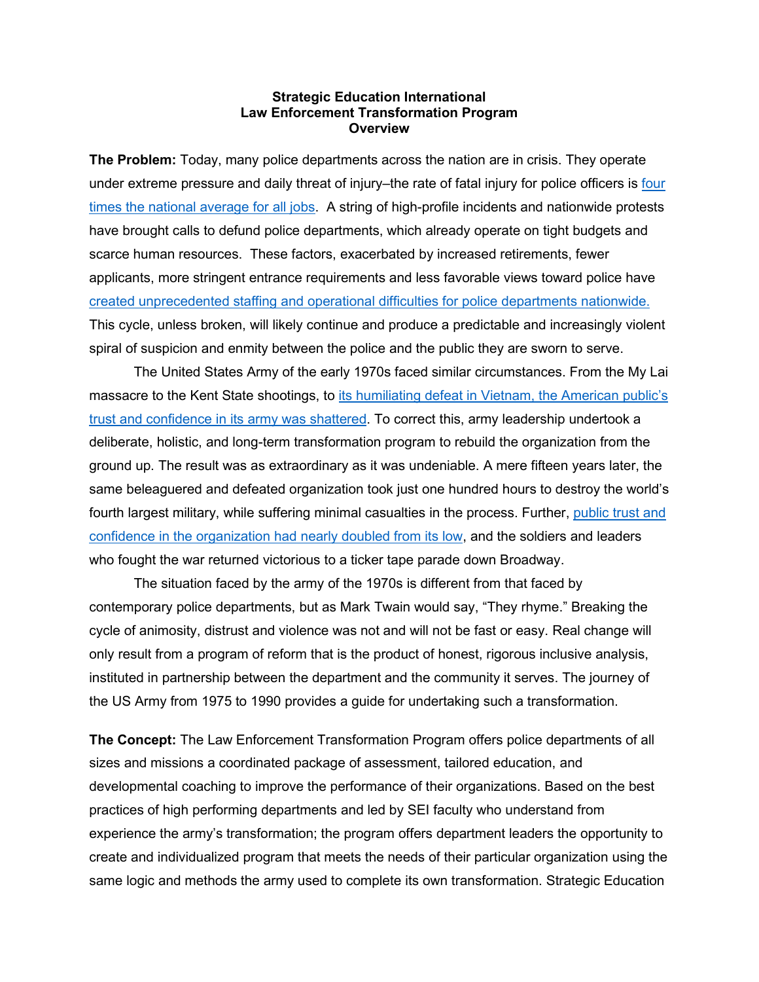## **Strategic Education International Law Enforcement Transformation Program Overview**

**The Problem:** Today, many police departments across the nation are in crisis. They operate under extreme pressure and daily threat of injury–the rate of fatal injury for police officers is four [times the national average for all jobs.](https://www.bls.gov/iif/oshwc/cfoi/police-2018.htm#:%7E:text=Police%20officers%20were%20fatally%20injured,work%20injuries%20among%20police%20officers) A string of high-profile incidents and nationwide protests have brought calls to defund police departments, which already operate on tight budgets and scarce human resources. These factors, exacerbated by increased retirements, fewer applicants, more stringent entrance requirements and less favorable views toward police have [created unprecedented staffing and operational difficulties for police departments](https://www.newsweek.com/top-us-crime-cities-grapple-police-shortfall-recruitment-retention-1660779) nationwide. This cycle, unless broken, will likely continue and produce a predictable and increasingly violent spiral of suspicion and enmity between the police and the public they are sworn to serve.

The United States Army of the early 1970s faced similar circumstances. From the My Lai massacre to the Kent State shootings, to its humiliating defeat in Vietnam, the American public's [trust and confidence in its army](https://ssl.armywarcollege.edu/dclm/pubs/Public%20Confidence.pdf) was shattered. To correct this, army leadership undertook a deliberate, holistic, and long-term transformation program to rebuild the organization from the ground up. The result was as extraordinary as it was undeniable. A mere fifteen years later, the same beleaguered and defeated organization took just one hundred hours to destroy the world's fourth largest military, while suffering minimal casualties in the process. Further, [public trust and](https://www.usatoday.com/story/opinion/voices/2016/02/01/persian-gulf-war-marines-saddam/79523372/)  [confidence in the organization had nearly doubled from its low,](https://www.usatoday.com/story/opinion/voices/2016/02/01/persian-gulf-war-marines-saddam/79523372/) and the soldiers and leaders who fought the war returned victorious to a ticker tape parade down Broadway.

The situation faced by the army of the 1970s is different from that faced by contemporary police departments, but as Mark Twain would say, "They rhyme." Breaking the cycle of animosity, distrust and violence was not and will not be fast or easy. Real change will only result from a program of reform that is the product of honest, rigorous inclusive analysis, instituted in partnership between the department and the community it serves. The journey of the US Army from 1975 to 1990 provides a guide for undertaking such a transformation.

**The Concept:** The Law Enforcement Transformation Program offers police departments of all sizes and missions a coordinated package of assessment, tailored education, and developmental coaching to improve the performance of their organizations. Based on the best practices of high performing departments and led by SEI faculty who understand from experience the army's transformation; the program offers department leaders the opportunity to create and individualized program that meets the needs of their particular organization using the same logic and methods the army used to complete its own transformation. Strategic Education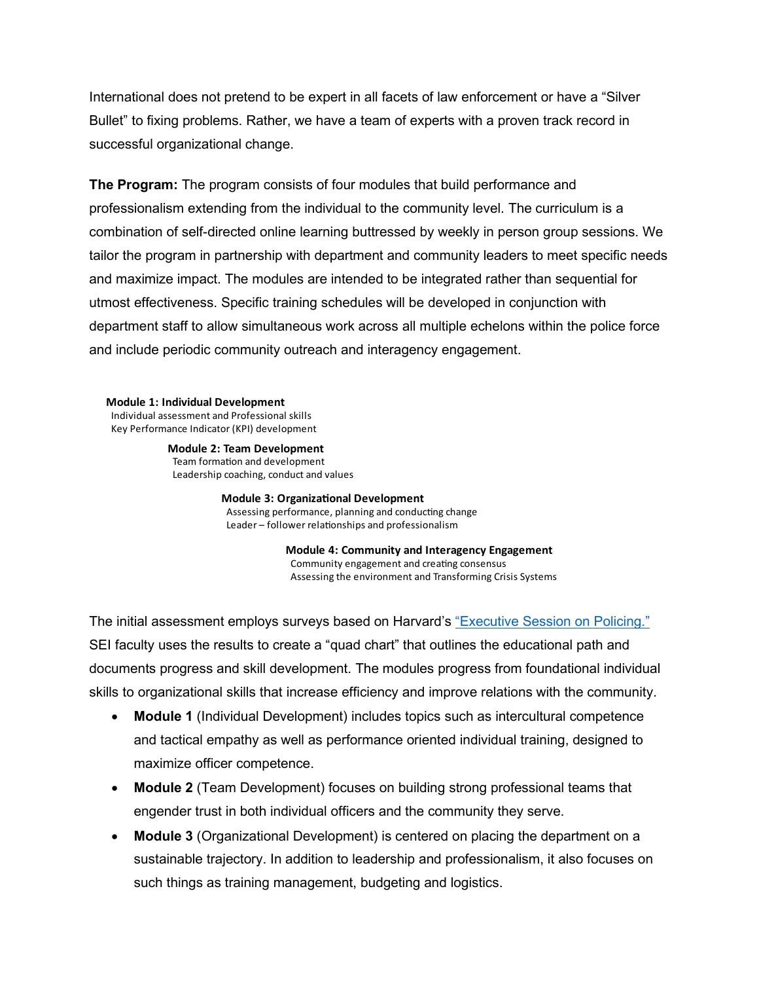International does not pretend to be expert in all facets of law enforcement or have a "Silver Bullet" to fixing problems. Rather, we have a team of experts with a proven track record in successful organizational change.

**The Program:** The program consists of four modules that build performance and professionalism extending from the individual to the community level. The curriculum is a combination of self-directed online learning buttressed by weekly in person group sessions. We tailor the program in partnership with department and community leaders to meet specific needs and maximize impact. The modules are intended to be integrated rather than sequential for utmost effectiveness. Specific training schedules will be developed in conjunction with department staff to allow simultaneous work across all multiple echelons within the police force and include periodic community outreach and interagency engagement.

**Module 1: Individual Development** Individual assessment and Professional skills Key Performance Indicator (KPI) development

> **Module 2: Team Development** Team formation and development Leadership coaching, conduct and values

> > **Module 3: Organizational Development** Assessing performance, planning and conducting change Leader – follower relationships and professionalism

> > > **Module 4: Community and Interagency Engagement** Community engagement and creating consensus Assessing the environment and Transforming Crisis Systems

The initial assessment employs surveys based on Harvard's ["Executive Session on Policing."](https://www.ojp.gov/pdffiles1/nij/248476.pdf)  SEI faculty uses the results to create a "quad chart" that outlines the educational path and documents progress and skill development. The modules progress from foundational individual skills to organizational skills that increase efficiency and improve relations with the community.

- **Module 1** (Individual Development) includes topics such as intercultural competence and tactical empathy as well as performance oriented individual training, designed to maximize officer competence.
- **Module 2** (Team Development) focuses on building strong professional teams that engender trust in both individual officers and the community they serve.
- **Module 3** (Organizational Development) is centered on placing the department on a sustainable trajectory. In addition to leadership and professionalism, it also focuses on such things as training management, budgeting and logistics.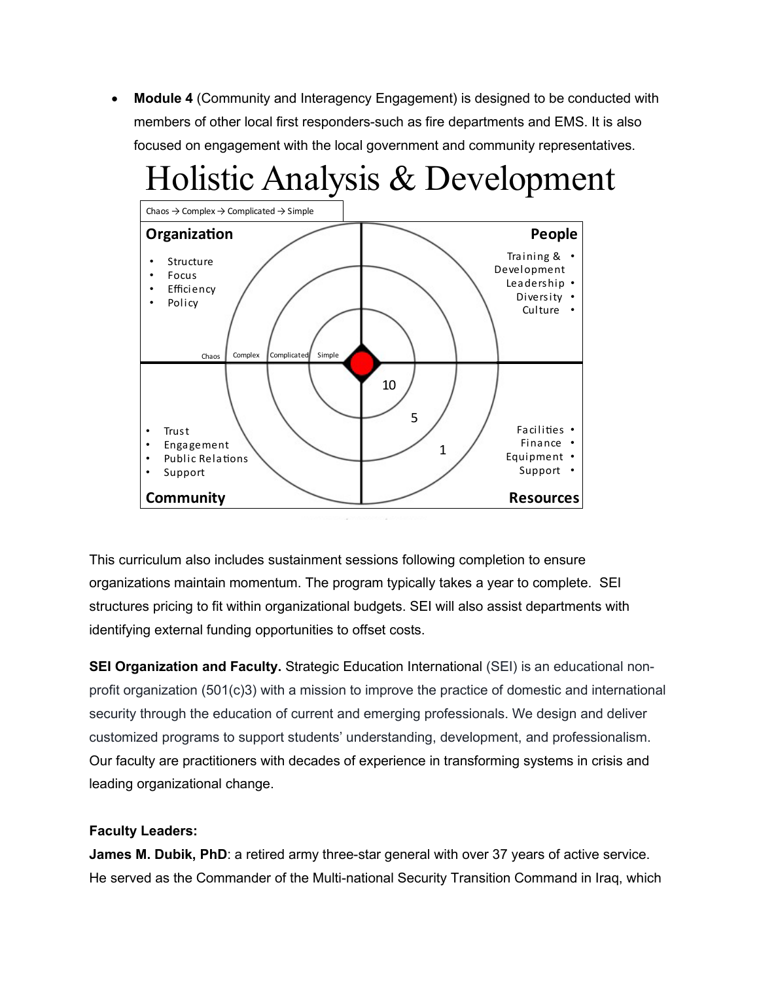• **Module 4** (Community and Interagency Engagement) is designed to be conducted with members of other local first responders-such as fire departments and EMS. It is also focused on engagement with the local government and community representatives.



This curriculum also includes sustainment sessions following completion to ensure organizations maintain momentum. The program typically takes a year to complete. SEI structures pricing to fit within organizational budgets. SEI will also assist departments with identifying external funding opportunities to offset costs.

**SEI Organization and Faculty.** Strategic Education International (SEI) is an educational nonprofit organization (501(c)3) with a mission to improve the practice of domestic and international security through the education of current and emerging professionals. We design and deliver customized programs to support students' understanding, development, and professionalism. Our faculty are practitioners with decades of experience in transforming systems in crisis and leading organizational change.

## **Faculty Leaders:**

**James M. Dubik, PhD**: a retired army three-star general with over 37 years of active service. He served as the Commander of the Multi-national Security Transition Command in Iraq, which